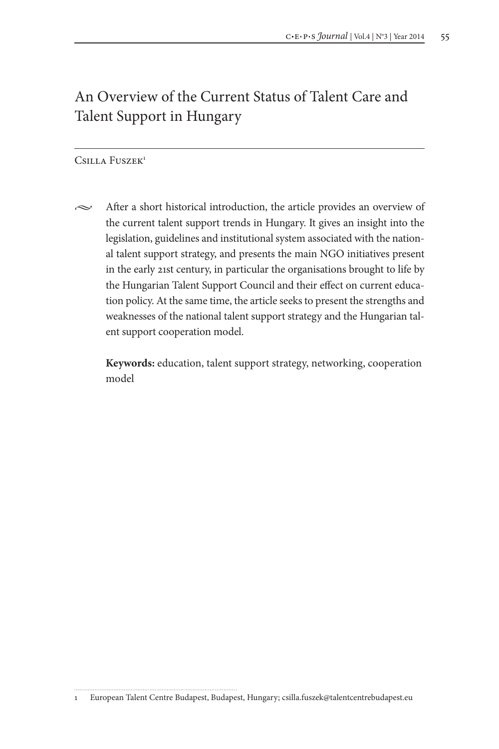# An Overview of the Current Status of Talent Care and Talent Support in Hungary

### Csilla Fuszek<sup>1</sup>

 $\sim$  After a short historical introduction, the article provides an overview of the current talent support trends in Hungary. It gives an insight into the legislation, guidelines and institutional system associated with the national talent support strategy, and presents the main NGO initiatives present in the early 21st century, in particular the organisations brought to life by the Hungarian Talent Support Council and their effect on current education policy. At the same time, the article seeks to present the strengths and weaknesses of the national talent support strategy and the Hungarian talent support cooperation model.

**Keywords:** education, talent support strategy, networking, cooperation model

<sup>1</sup> European Talent Centre Budapest, Budapest, Hungary; csilla.fuszek@talentcentrebudapest.eu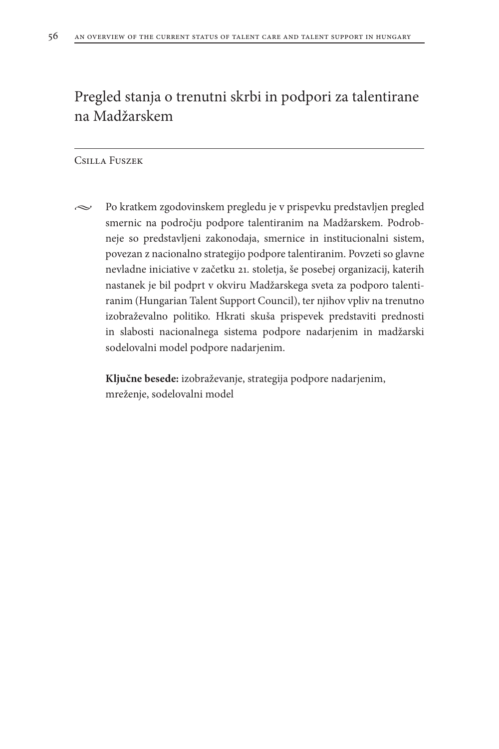# Pregled stanja o trenutni skrbi in podpori za talentirane na Madžarskem

#### Csilla Fuszek

 $\sim$  Po kratkem zgodovinskem pregledu je v prispevku predstavljen pregled smernic na področju podpore talentiranim na Madžarskem. Podrobneje so predstavljeni zakonodaja, smernice in institucionalni sistem, povezan z nacionalno strategijo podpore talentiranim. Povzeti so glavne nevladne iniciative v začetku 21. stoletja, še posebej organizacij, katerih nastanek je bil podprt v okviru Madžarskega sveta za podporo talentiranim (Hungarian Talent Support Council), ter njihov vpliv na trenutno izobraževalno politiko. Hkrati skuša prispevek predstaviti prednosti in slabosti nacionalnega sistema podpore nadarjenim in madžarski sodelovalni model podpore nadarjenim.

**Ključne besede:** izobraževanje, strategija podpore nadarjenim, mreženje, sodelovalni model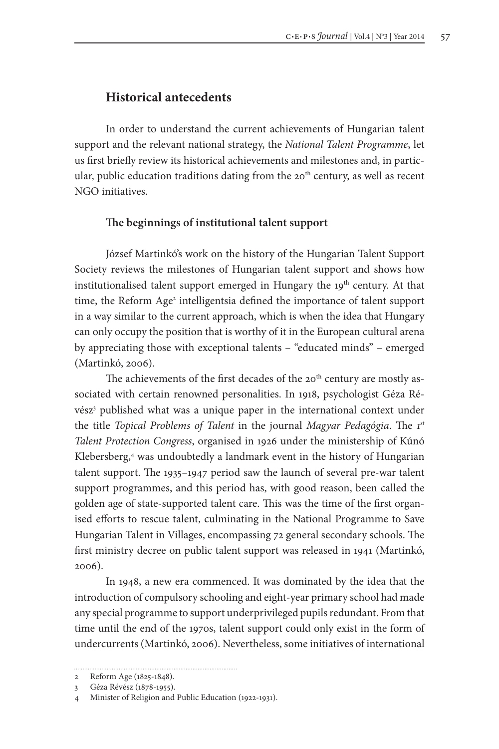# **Historical antecedents**

In order to understand the current achievements of Hungarian talent support and the relevant national strategy, the *National Talent Programme*, let us first briefly review its historical achievements and milestones and, in particular, public education traditions dating from the  $20<sup>th</sup>$  century, as well as recent NGO initiatives.

### **The beginnings of institutional talent support**

József Martinkó's work on the history of the Hungarian Talent Support Society reviews the milestones of Hungarian talent support and shows how institutionalised talent support emerged in Hungary the 19<sup>th</sup> century. At that time, the Reform Age<sup>2</sup> intelligentsia defined the importance of talent support in a way similar to the current approach, which is when the idea that Hungary can only occupy the position that is worthy of it in the European cultural arena by appreciating those with exceptional talents – "educated minds" – emerged (Martinkó, 2006).

The achievements of the first decades of the 20<sup>th</sup> century are mostly associated with certain renowned personalities. In 1918, psychologist Géza Révész<sup>3</sup> published what was a unique paper in the international context under the title *Topical Problems of Talent* in the journal *Magyar Pedagógia*. The *1st Talent Protection Congress*, organised in 1926 under the ministership of Kúnó Klebersberg,<sup>4</sup> was undoubtedly a landmark event in the history of Hungarian talent support. The 1935–1947 period saw the launch of several pre-war talent support programmes, and this period has, with good reason, been called the golden age of state-supported talent care. This was the time of the first organised efforts to rescue talent, culminating in the National Programme to Save Hungarian Talent in Villages, encompassing 72 general secondary schools. The first ministry decree on public talent support was released in 1941 (Martinkó, 2006).

In 1948, a new era commenced. It was dominated by the idea that the introduction of compulsory schooling and eight-year primary school had made any special programme to support underprivileged pupils redundant. From that time until the end of the 1970s, talent support could only exist in the form of undercurrents (Martinkó, 2006). Nevertheless, some initiatives of international

<sup>2</sup> Reform Age (1825-1848).

<sup>3</sup> Géza Révész (1878-1955).

<sup>4</sup> Minister of Religion and Public Education (1922-1931).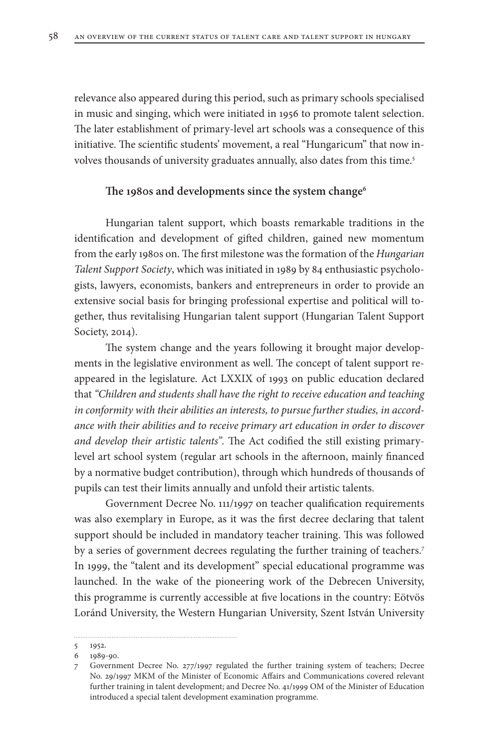relevance also appeared during this period, such as primary schools specialised in music and singing, which were initiated in 1956 to promote talent selection. The later establishment of primary-level art schools was a consequence of this initiative. The scientific students' movement, a real "Hungaricum" that now involves thousands of university graduates annually, also dates from this time.<sup>5</sup>

### **The 1980s and developments since the system change6**

Hungarian talent support, which boasts remarkable traditions in the identification and development of gifted children, gained new momentum from the early 1980s on. The first milestone was the formation of the *Hungarian Talent Support Society*, which was initiated in 1989 by 84 enthusiastic psychologists, lawyers, economists, bankers and entrepreneurs in order to provide an extensive social basis for bringing professional expertise and political will together, thus revitalising Hungarian talent support (Hungarian Talent Support Society, 2014).

The system change and the years following it brought major developments in the legislative environment as well. The concept of talent support reappeared in the legislature. Act LXXIX of 1993 on public education declared that *"Children and students shall have the right to receive education and teaching in conformity with their abilities an interests, to pursue further studies, in accordance with their abilities and to receive primary art education in order to discover and develop their artistic talents".* The Act codified the still existing primarylevel art school system (regular art schools in the afternoon, mainly financed by a normative budget contribution), through which hundreds of thousands of pupils can test their limits annually and unfold their artistic talents.

Government Decree No. 111/1997 on teacher qualification requirements was also exemplary in Europe, as it was the first decree declaring that talent support should be included in mandatory teacher training. This was followed by a series of government decrees regulating the further training of teachers.<sup>7</sup> In 1999, the "talent and its development" special educational programme was launched. In the wake of the pioneering work of the Debrecen University, this programme is currently accessible at five locations in the country: Eötvös Loránd University, the Western Hungarian University, Szent István University

<sup>5</sup> 1952.

<sup>6</sup> 1989-90.

<sup>7</sup> Government Decree No. 277/1997 regulated the further training system of teachers; Decree No. 29/1997 MKM of the Minister of Economic Affairs and Communications covered relevant further training in talent development; and Decree No. 41/1999 OM of the Minister of Education introduced a special talent development examination programme.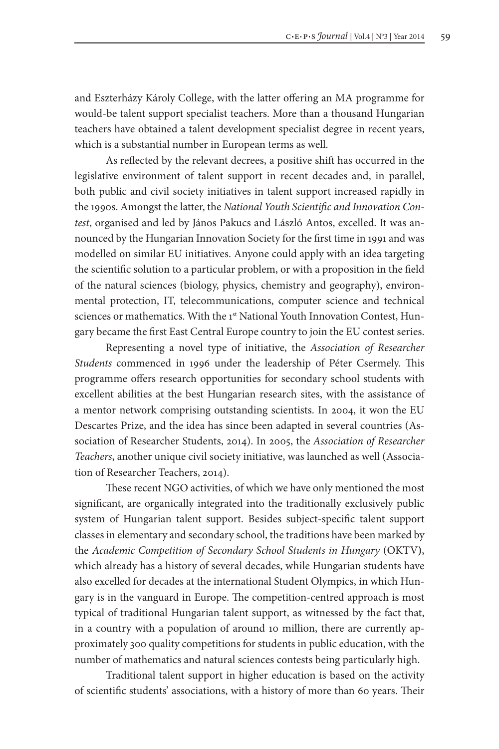and Eszterházy Károly College, with the latter offering an MA programme for would-be talent support specialist teachers. More than a thousand Hungarian teachers have obtained a talent development specialist degree in recent years, which is a substantial number in European terms as well.

As reflected by the relevant decrees, a positive shift has occurred in the legislative environment of talent support in recent decades and, in parallel, both public and civil society initiatives in talent support increased rapidly in the 1990s. Amongst the latter, the *National Youth Scientific and Innovation Contest*, organised and led by János Pakucs and László Antos, excelled. It was announced by the Hungarian Innovation Society for the first time in 1991 and was modelled on similar EU initiatives. Anyone could apply with an idea targeting the scientific solution to a particular problem, or with a proposition in the field of the natural sciences (biology, physics, chemistry and geography), environmental protection, IT, telecommunications, computer science and technical sciences or mathematics. With the 1<sup>st</sup> National Youth Innovation Contest, Hungary became the first East Central Europe country to join the EU contest series.

Representing a novel type of initiative, the *Association of Researcher Students* commenced in 1996 under the leadership of Péter Csermely. This programme offers research opportunities for secondary school students with excellent abilities at the best Hungarian research sites, with the assistance of a mentor network comprising outstanding scientists. In 2004, it won the EU Descartes Prize, and the idea has since been adapted in several countries (Association of Researcher Students, 2014). In 2005, the *Association of Researcher Teachers*, another unique civil society initiative, was launched as well (Association of Researcher Teachers, 2014).

These recent NGO activities, of which we have only mentioned the most significant, are organically integrated into the traditionally exclusively public system of Hungarian talent support. Besides subject-specific talent support classes in elementary and secondary school, the traditions have been marked by the *Academic Competition of Secondary School Students in Hungary* (OKTV**)**, which already has a history of several decades, while Hungarian students have also excelled for decades at the international Student Olympics, in which Hungary is in the vanguard in Europe. The competition-centred approach is most typical of traditional Hungarian talent support, as witnessed by the fact that, in a country with a population of around 10 million, there are currently approximately 300 quality competitions for students in public education, with the number of mathematics and natural sciences contests being particularly high.

Traditional talent support in higher education is based on the activity of scientific students' associations, with a history of more than 60 years. Their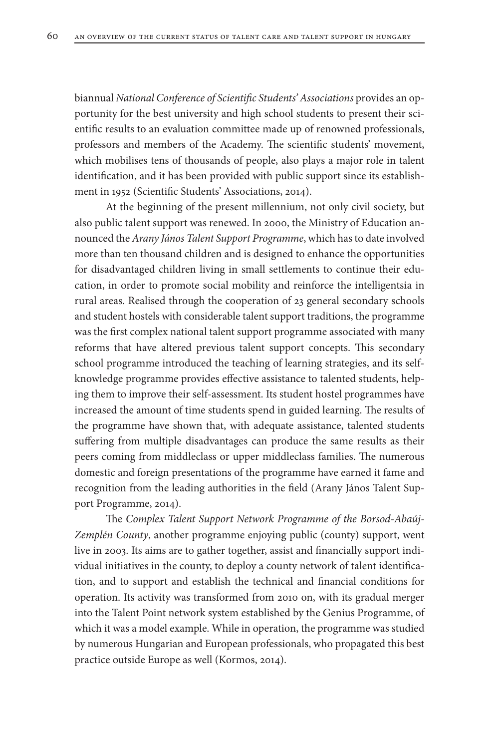biannual *National Conference of Scientific Students' Associations* provides an opportunity for the best university and high school students to present their scientific results to an evaluation committee made up of renowned professionals, professors and members of the Academy. The scientific students' movement, which mobilises tens of thousands of people, also plays a major role in talent identification, and it has been provided with public support since its establishment in 1952 (Scientific Students' Associations, 2014).

At the beginning of the present millennium, not only civil society, but also public talent support was renewed. In 2000, the Ministry of Education announced the *Arany János Talent Support Programme*, which has to date involved more than ten thousand children and is designed to enhance the opportunities for disadvantaged children living in small settlements to continue their education, in order to promote social mobility and reinforce the intelligentsia in rural areas. Realised through the cooperation of 23 general secondary schools and student hostels with considerable talent support traditions, the programme was the first complex national talent support programme associated with many reforms that have altered previous talent support concepts. This secondary school programme introduced the teaching of learning strategies, and its selfknowledge programme provides effective assistance to talented students, helping them to improve their self-assessment. Its student hostel programmes have increased the amount of time students spend in guided learning. The results of the programme have shown that, with adequate assistance, talented students suffering from multiple disadvantages can produce the same results as their peers coming from middleclass or upper middleclass families. The numerous domestic and foreign presentations of the programme have earned it fame and recognition from the leading authorities in the field (Arany János Talent Support Programme, 2014).

The *Complex Talent Support Network Programme of the Borsod-Abaúj-Zemplén County*, another programme enjoying public (county) support, went live in 2003. Its aims are to gather together, assist and financially support individual initiatives in the county, to deploy a county network of talent identification, and to support and establish the technical and financial conditions for operation. Its activity was transformed from 2010 on, with its gradual merger into the Talent Point network system established by the Genius Programme, of which it was a model example. While in operation, the programme was studied by numerous Hungarian and European professionals, who propagated this best practice outside Europe as well (Kormos, 2014).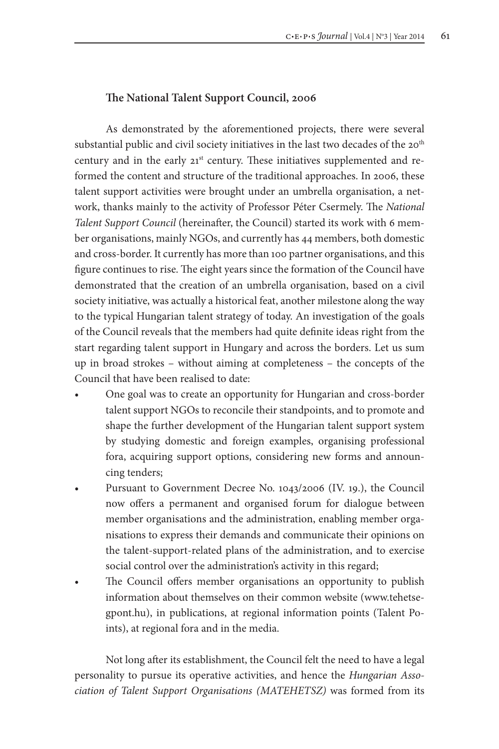#### **The National Talent Support Council, 2006**

As demonstrated by the aforementioned projects, there were several substantial public and civil society initiatives in the last two decades of the 20<sup>th</sup> century and in the early 21<sup>st</sup> century. These initiatives supplemented and reformed the content and structure of the traditional approaches. In 2006, these talent support activities were brought under an umbrella organisation, a network, thanks mainly to the activity of Professor Péter Csermely. The *National Talent Support Council* (hereinafter, the Council) started its work with 6 member organisations, mainly NGOs, and currently has 44 members, both domestic and cross-border. It currently has more than 100 partner organisations, and this figure continues to rise. The eight years since the formation of the Council have demonstrated that the creation of an umbrella organisation, based on a civil society initiative, was actually a historical feat, another milestone along the way to the typical Hungarian talent strategy of today. An investigation of the goals of the Council reveals that the members had quite definite ideas right from the start regarding talent support in Hungary and across the borders. Let us sum up in broad strokes – without aiming at completeness – the concepts of the Council that have been realised to date:

- One goal was to create an opportunity for Hungarian and cross-border talent support NGOs to reconcile their standpoints, and to promote and shape the further development of the Hungarian talent support system by studying domestic and foreign examples, organising professional fora, acquiring support options, considering new forms and announcing tenders;
- Pursuant to Government Decree No. 1043/2006 (IV. 19.), the Council now offers a permanent and organised forum for dialogue between member organisations and the administration, enabling member organisations to express their demands and communicate their opinions on the talent-support-related plans of the administration, and to exercise social control over the administration's activity in this regard;
- The Council offers member organisations an opportunity to publish information about themselves on their common website (www.tehetsegpont.hu), in publications, at regional information points (Talent Points), at regional fora and in the media.

Not long after its establishment, the Council felt the need to have a legal personality to pursue its operative activities, and hence the *Hungarian Association of Talent Support Organisations (MATEHETSZ)* was formed from its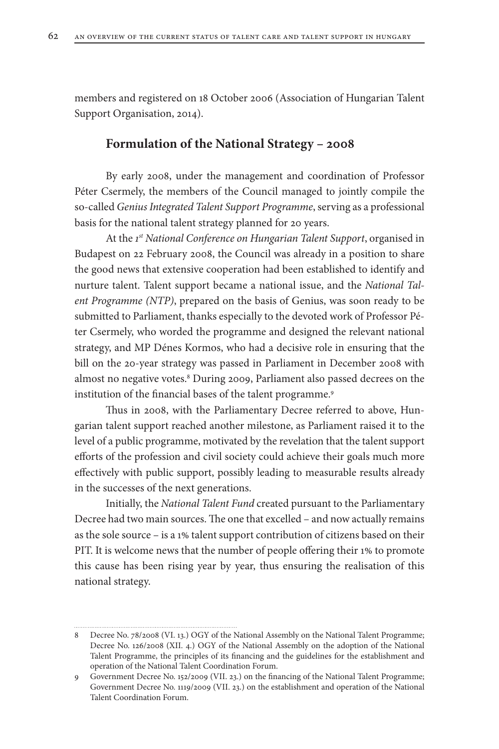members and registered on 18 October 2006 (Association of Hungarian Talent Support Organisation, 2014).

# **Formulation of the National Strategy – 2008**

By early 2008, under the management and coordination of Professor Péter Csermely, the members of the Council managed to jointly compile the so-called *Genius Integrated Talent Support Programme*, serving as a professional basis for the national talent strategy planned for 20 years.

At the *1st National Conference on Hungarian Talent Support*, organised in Budapest on 22 February 2008, the Council was already in a position to share the good news that extensive cooperation had been established to identify and nurture talent. Talent support became a national issue, and the *National Talent Programme (NTP)*, prepared on the basis of Genius, was soon ready to be submitted to Parliament, thanks especially to the devoted work of Professor Péter Csermely, who worded the programme and designed the relevant national strategy, and MP Dénes Kormos, who had a decisive role in ensuring that the bill on the 20-year strategy was passed in Parliament in December 2008 with almost no negative votes.<sup>8</sup> During 2009, Parliament also passed decrees on the institution of the financial bases of the talent programme.<sup>9</sup>

Thus in 2008, with the Parliamentary Decree referred to above, Hungarian talent support reached another milestone, as Parliament raised it to the level of a public programme, motivated by the revelation that the talent support efforts of the profession and civil society could achieve their goals much more effectively with public support, possibly leading to measurable results already in the successes of the next generations.

Initially, the *National Talent Fund* created pursuant to the Parliamentary Decree had two main sources. The one that excelled – and now actually remains as the sole source – is a 1% talent support contribution of citizens based on their PIT. It is welcome news that the number of people offering their 1% to promote this cause has been rising year by year, thus ensuring the realisation of this national strategy.

<sup>8</sup> Decree No. 78/2008 (VI. 13.) OGY of the National Assembly on the National Talent Programme; Decree No. 126/2008 (XII. 4.) OGY of the National Assembly on the adoption of the National Talent Programme, the principles of its financing and the guidelines for the establishment and operation of the National Talent Coordination Forum.

<sup>9</sup> Government Decree No. 152/2009 (VII. 23.) on the financing of the National Talent Programme; Government Decree No. 1119/2009 (VII. 23.) on the establishment and operation of the National Talent Coordination Forum.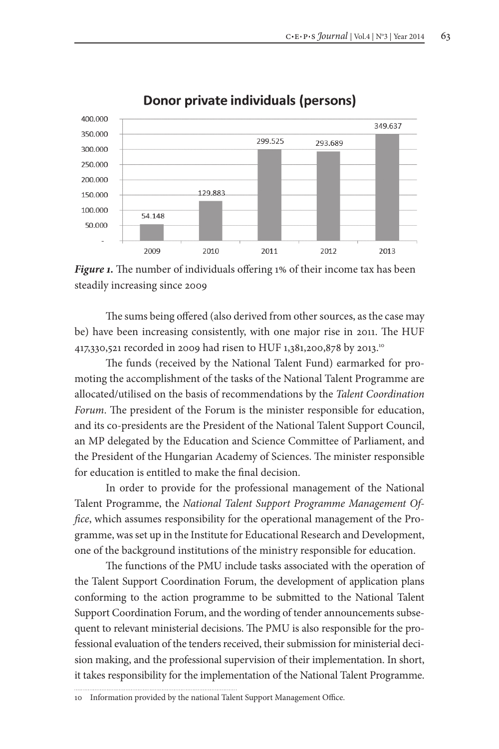

# Donor private individuals (persons)

*Figure 1*. The number of individuals offering 1% of their income tax has been steadily increasing since 2009

The sums being offered (also derived from other sources, as the case may be) have been increasing consistently, with one major rise in 2011. The HUF 417,330,521 recorded in 2009 had risen to HUF 1,381,200,878 by 2013.10

The funds (received by the National Talent Fund) earmarked for promoting the accomplishment of the tasks of the National Talent Programme are allocated/utilised on the basis of recommendations by the *Talent Coordination Forum*. The president of the Forum is the minister responsible for education, and its co-presidents are the President of the National Talent Support Council, an MP delegated by the Education and Science Committee of Parliament, and the President of the Hungarian Academy of Sciences. The minister responsible for education is entitled to make the final decision.

In order to provide for the professional management of the National Talent Programme, the *National Talent Support Programme Management Office*, which assumes responsibility for the operational management of the Programme, was set up in the Institute for Educational Research and Development, one of the background institutions of the ministry responsible for education.

The functions of the PMU include tasks associated with the operation of the Talent Support Coordination Forum, the development of application plans conforming to the action programme to be submitted to the National Talent Support Coordination Forum, and the wording of tender announcements subsequent to relevant ministerial decisions. The PMU is also responsible for the professional evaluation of the tenders received, their submission for ministerial decision making, and the professional supervision of their implementation. In short, it takes responsibility for the implementation of the National Talent Programme.

10 Information provided by the national Talent Support Management Office.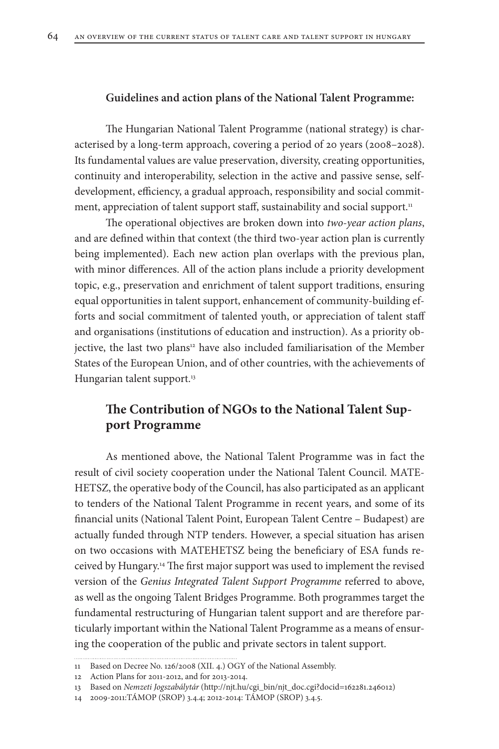#### **Guidelines and action plans of the National Talent Programme:**

The Hungarian National Talent Programme (national strategy) is characterised by a long-term approach, covering a period of 20 years (2008–2028). Its fundamental values are value preservation, diversity, creating opportunities, continuity and interoperability, selection in the active and passive sense, selfdevelopment, efficiency, a gradual approach, responsibility and social commitment, appreciation of talent support staff, sustainability and social support.<sup>11</sup>

The operational objectives are broken down into *two-year action plans*, and are defined within that context (the third two-year action plan is currently being implemented). Each new action plan overlaps with the previous plan, with minor differences. All of the action plans include a priority development topic, e.g., preservation and enrichment of talent support traditions, ensuring equal opportunities in talent support, enhancement of community-building efforts and social commitment of talented youth, or appreciation of talent staff and organisations (institutions of education and instruction). As a priority objective, the last two plans<sup>12</sup> have also included familiarisation of the Member States of the European Union, and of other countries, with the achievements of Hungarian talent support.<sup>13</sup>

# **The Contribution of NGOs to the National Talent Support Programme**

As mentioned above, the National Talent Programme was in fact the result of civil society cooperation under the National Talent Council. MATE-HETSZ, the operative body of the Council, has also participated as an applicant to tenders of the National Talent Programme in recent years, and some of its financial units (National Talent Point, European Talent Centre – Budapest) are actually funded through NTP tenders. However, a special situation has arisen on two occasions with MATEHETSZ being the beneficiary of ESA funds received by Hungary.14 The first major support was used to implement the revised version of the *Genius Integrated Talent Support Programme* referred to above, as well as the ongoing Talent Bridges Programme. Both programmes target the fundamental restructuring of Hungarian talent support and are therefore particularly important within the National Talent Programme as a means of ensuring the cooperation of the public and private sectors in talent support.

<sup>11</sup> Based on Decree No. 126/2008 (XII. 4.) OGY of the National Assembly.

<sup>12</sup> Action Plans for 2011-2012, and for 2013-2014.

<sup>13</sup> Based on *Nemzeti Jogszabálytár* (http://njt.hu/cgi\_bin/njt\_doc.cgi?docid=162281.246012)

<sup>14</sup> 2009-2011:TÁMOP (SROP) 3.4.4; 2012-2014: TÁMOP (SROP) 3.4.5.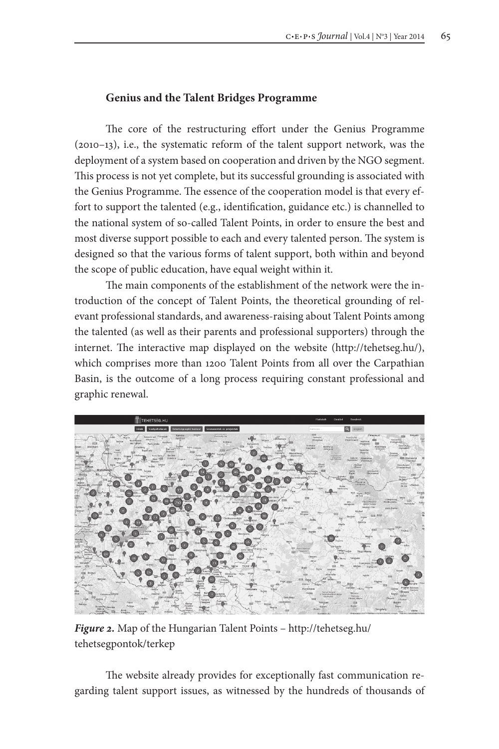## **Genius and the Talent Bridges Programme**

The core of the restructuring effort under the Genius Programme (2010–13), i.e., the systematic reform of the talent support network, was the deployment of a system based on cooperation and driven by the NGO segment. This process is not yet complete, but its successful grounding is associated with the Genius Programme. The essence of the cooperation model is that every effort to support the talented (e.g., identification, guidance etc.) is channelled to the national system of so-called Talent Points, in order to ensure the best and most diverse support possible to each and every talented person. The system is designed so that the various forms of talent support, both within and beyond the scope of public education, have equal weight within it.

The main components of the establishment of the network were the introduction of the concept of Talent Points, the theoretical grounding of relevant professional standards, and awareness-raising about Talent Points among the talented (as well as their parents and professional supporters) through the internet. The interactive map displayed on the website (http://tehetseg.hu/), which comprises more than 1200 Talent Points from all over the Carpathian Basin, is the outcome of a long process requiring constant professional and graphic renewal.



*Figure 2.* Map of the Hungarian Talent Points – http://tehetseg.hu/ tehetsegpontok/terkep

The website already provides for exceptionally fast communication regarding talent support issues, as witnessed by the hundreds of thousands of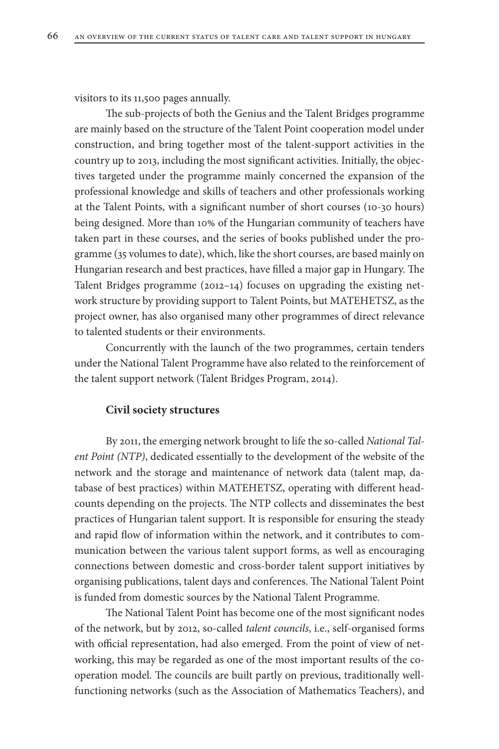visitors to its 11,500 pages annually.

The sub-projects of both the Genius and the Talent Bridges programme are mainly based on the structure of the Talent Point cooperation model under construction, and bring together most of the talent-support activities in the country up to 2013, including the most significant activities. Initially, the objectives targeted under the programme mainly concerned the expansion of the professional knowledge and skills of teachers and other professionals working at the Talent Points, with a significant number of short courses (10-30 hours) being designed. More than 10% of the Hungarian community of teachers have taken part in these courses, and the series of books published under the programme (35 volumes to date), which, like the short courses, are based mainly on Hungarian research and best practices, have filled a major gap in Hungary. The Talent Bridges programme (2012–14) focuses on upgrading the existing network structure by providing support to Talent Points, but MATEHETSZ, as the project owner, has also organised many other programmes of direct relevance to talented students or their environments.

Concurrently with the launch of the two programmes, certain tenders under the National Talent Programme have also related to the reinforcement of the talent support network (Talent Bridges Program, 2014).

#### **Civil society structures**

By 2011, the emerging network brought to life the so-called *National Talent Point (NTP)*, dedicated essentially to the development of the website of the network and the storage and maintenance of network data (talent map, database of best practices) within MATEHETSZ, operating with different headcounts depending on the projects. The NTP collects and disseminates the best practices of Hungarian talent support. It is responsible for ensuring the steady and rapid flow of information within the network, and it contributes to communication between the various talent support forms, as well as encouraging connections between domestic and cross-border talent support initiatives by organising publications, talent days and conferences. The National Talent Point is funded from domestic sources by the National Talent Programme.

The National Talent Point has become one of the most significant nodes of the network, but by 2012, so-called *talent councils*, i.e., self-organised forms with official representation, had also emerged. From the point of view of networking, this may be regarded as one of the most important results of the cooperation model. The councils are built partly on previous, traditionally wellfunctioning networks (such as the Association of Mathematics Teachers), and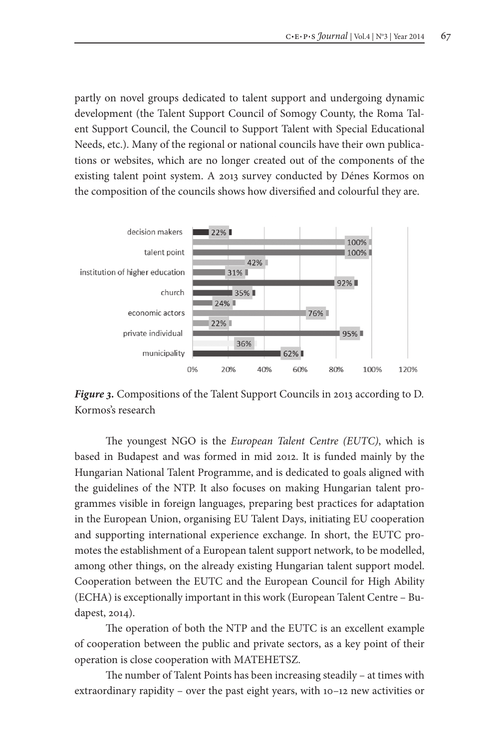partly on novel groups dedicated to talent support and undergoing dynamic development (the Talent Support Council of Somogy County, the Roma Talent Support Council, the Council to Support Talent with Special Educational Needs, etc.). Many of the regional or national councils have their own publications or websites, which are no longer created out of the components of the existing talent point system. A 2013 survey conducted by Dénes Kormos on the composition of the councils shows how diversified and colourful they are.



*Figure 3.* Compositions of the Talent Support Councils in 2013 according to D. Kormos's research

The youngest NGO is the *European Talent Centre (EUTC)*, which is based in Budapest and was formed in mid 2012. It is funded mainly by the Hungarian National Talent Programme, and is dedicated to goals aligned with the guidelines of the NTP. It also focuses on making Hungarian talent programmes visible in foreign languages, preparing best practices for adaptation in the European Union, organising EU Talent Days, initiating EU cooperation and supporting international experience exchange. In short, the EUTC promotes the establishment of a European talent support network, to be modelled, among other things, on the already existing Hungarian talent support model. Cooperation between the EUTC and the European Council for High Ability (ECHA) is exceptionally important in this work (European Talent Centre – Budapest, 2014).

The operation of both the NTP and the EUTC is an excellent example of cooperation between the public and private sectors, as a key point of their operation is close cooperation with MATEHETSZ.

The number of Talent Points has been increasing steadily – at times with extraordinary rapidity – over the past eight years, with 10–12 new activities or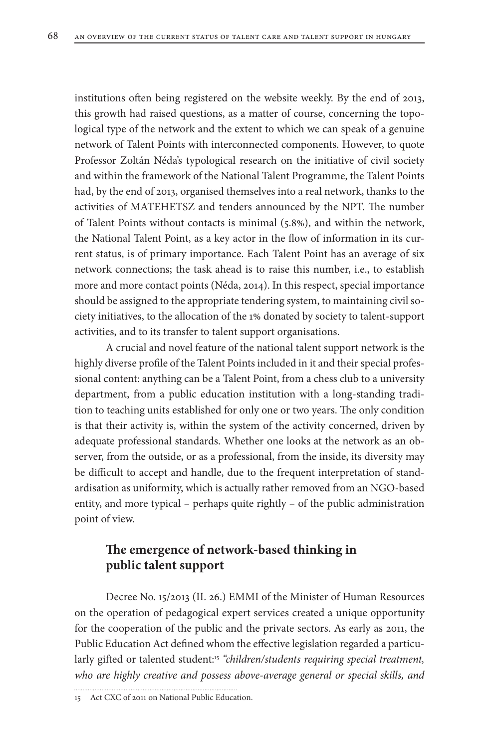institutions often being registered on the website weekly. By the end of 2013, this growth had raised questions, as a matter of course, concerning the topological type of the network and the extent to which we can speak of a genuine network of Talent Points with interconnected components. However, to quote Professor Zoltán Néda's typological research on the initiative of civil society and within the framework of the National Talent Programme, the Talent Points had, by the end of 2013, organised themselves into a real network, thanks to the activities of MATEHETSZ and tenders announced by the NPT. The number of Talent Points without contacts is minimal (5.8%), and within the network, the National Talent Point, as a key actor in the flow of information in its current status, is of primary importance. Each Talent Point has an average of six network connections; the task ahead is to raise this number, i.e., to establish more and more contact points (Néda, 2014). In this respect, special importance should be assigned to the appropriate tendering system, to maintaining civil society initiatives, to the allocation of the 1% donated by society to talent-support activities, and to its transfer to talent support organisations.

A crucial and novel feature of the national talent support network is the highly diverse profile of the Talent Points included in it and their special professional content: anything can be a Talent Point, from a chess club to a university department, from a public education institution with a long-standing tradition to teaching units established for only one or two years. The only condition is that their activity is, within the system of the activity concerned, driven by adequate professional standards. Whether one looks at the network as an observer, from the outside, or as a professional, from the inside, its diversity may be difficult to accept and handle, due to the frequent interpretation of standardisation as uniformity, which is actually rather removed from an NGO-based entity, and more typical – perhaps quite rightly – of the public administration point of view.

# **The emergence of network-based thinking in public talent support**

Decree No. 15/2013 (II. 26.) EMMI of the Minister of Human Resources on the operation of pedagogical expert services created a unique opportunity for the cooperation of the public and the private sectors. As early as 2011, the Public Education Act defined whom the effective legislation regarded a particularly gifted or talented student:<sup>15</sup> "children/students requiring special treatment, *who are highly creative and possess above-average general or special skills, and* 

15 Act CXC of 2011 on National Public Education.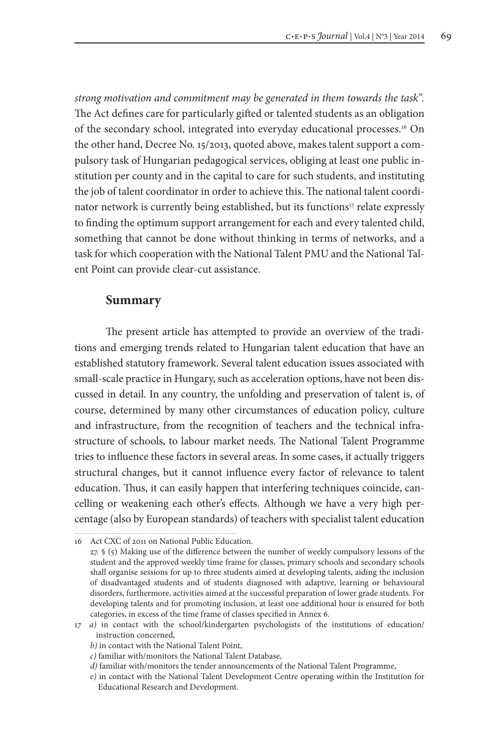*strong motivation and commitment may be generated in them towards the task".*  The Act defines care for particularly gifted or talented students as an obligation of the secondary school, integrated into everyday educational processes.16 On the other hand, Decree No. 15/2013, quoted above, makes talent support a compulsory task of Hungarian pedagogical services, obliging at least one public institution per county and in the capital to care for such students, and instituting the job of talent coordinator in order to achieve this. The national talent coordinator network is currently being established, but its functions<sup>17</sup> relate expressly to finding the optimum support arrangement for each and every talented child, something that cannot be done without thinking in terms of networks, and a task for which cooperation with the National Talent PMU and the National Talent Point can provide clear-cut assistance.

### **Summary**

The present article has attempted to provide an overview of the traditions and emerging trends related to Hungarian talent education that have an established statutory framework. Several talent education issues associated with small-scale practice in Hungary, such as acceleration options, have not been discussed in detail. In any country, the unfolding and preservation of talent is, of course, determined by many other circumstances of education policy, culture and infrastructure, from the recognition of teachers and the technical infrastructure of schools, to labour market needs. The National Talent Programme tries to influence these factors in several areas. In some cases, it actually triggers structural changes, but it cannot influence every factor of relevance to talent education. Thus, it can easily happen that interfering techniques coincide, cancelling or weakening each other's effects. Although we have a very high percentage (also by European standards) of teachers with specialist talent education

<sup>16</sup> Act CXC of 2011 on National Public Education.

<sup>27. § (5)</sup> Making use of the difference between the number of weekly compulsory lessons of the student and the approved weekly time frame for classes, primary schools and secondary schools shall organise sessions for up to three students aimed at developing talents, aiding the inclusion of disadvantaged students and of students diagnosed with adaptive, learning or behavioural disorders, furthermore, activities aimed at the successful preparation of lower grade students. For developing talents and for promoting inclusion, at least one additional hour is ensured for both categories, in excess of the time frame of classes specified in Annex 6.

<sup>17</sup> *a)* in contact with the school/kindergarten psychologists of the institutions of education/ instruction concerned,

*b)* in contact with the National Talent Point,

*c)* familiar with/monitors the National Talent Database,

*d)* familiar with/monitors the tender announcements of the National Talent Programme,

*e)* in contact with the National Talent Development Centre operating within the Institution for Educational Research and Development.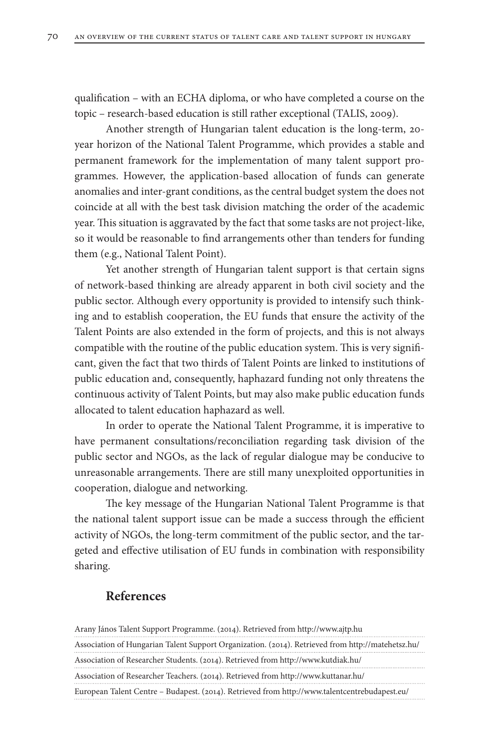qualification – with an ECHA diploma, or who have completed a course on the topic – research-based education is still rather exceptional (TALIS, 2009).

Another strength of Hungarian talent education is the long-term, 20 year horizon of the National Talent Programme, which provides a stable and permanent framework for the implementation of many talent support programmes. However, the application-based allocation of funds can generate anomalies and inter-grant conditions, as the central budget system the does not coincide at all with the best task division matching the order of the academic year. This situation is aggravated by the fact that some tasks are not project-like, so it would be reasonable to find arrangements other than tenders for funding them (e.g., National Talent Point).

Yet another strength of Hungarian talent support is that certain signs of network-based thinking are already apparent in both civil society and the public sector. Although every opportunity is provided to intensify such thinking and to establish cooperation, the EU funds that ensure the activity of the Talent Points are also extended in the form of projects, and this is not always compatible with the routine of the public education system. This is very significant, given the fact that two thirds of Talent Points are linked to institutions of public education and, consequently, haphazard funding not only threatens the continuous activity of Talent Points, but may also make public education funds allocated to talent education haphazard as well.

In order to operate the National Talent Programme, it is imperative to have permanent consultations/reconciliation regarding task division of the public sector and NGOs, as the lack of regular dialogue may be conducive to unreasonable arrangements. There are still many unexploited opportunities in cooperation, dialogue and networking.

The key message of the Hungarian National Talent Programme is that the national talent support issue can be made a success through the efficient activity of NGOs, the long-term commitment of the public sector, and the targeted and effective utilisation of EU funds in combination with responsibility sharing.

# **References**

| Arany János Talent Support Programme. (2014). Retrieved from http://www.ajtp.hu                   |
|---------------------------------------------------------------------------------------------------|
| Association of Hungarian Talent Support Organization. (2014). Retrieved from http://matehetsz.hu/ |
| Association of Researcher Students. (2014). Retrieved from http://www.kutdiak.hu/                 |
| Association of Researcher Teachers. (2014). Retrieved from http://www.kuttanar.hu/                |
| European Talent Centre - Budapest. (2014). Retrieved from http://www.talentcentrebudapest.eu/     |